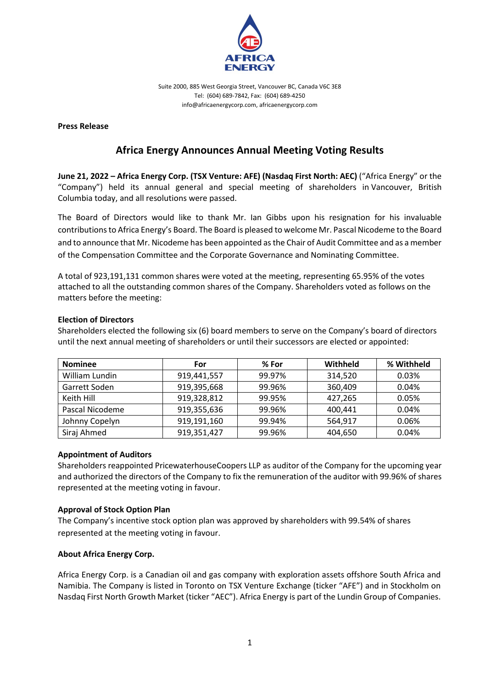

Suite 2000, 885 West Georgia Street, Vancouver BC, Canada V6C 3E8 Tel: (604) 689-7842, Fax: (604) 689-4250 info@africaenergycorp.com, africaenergycorp.com

### **Press Release**

# **Africa Energy Announces Annual Meeting Voting Results**

**June 21, 2022 – Africa Energy Corp. (TSX Venture: AFE) (Nasdaq First North: AEC)** ("Africa Energy" or the "Company") held its annual general and special meeting of shareholders in Vancouver, British Columbia today, and all resolutions were passed.

The Board of Directors would like to thank Mr. Ian Gibbs upon his resignation for his invaluable contributions to Africa Energy's Board. The Board is pleased to welcome Mr. Pascal Nicodeme to the Board and to announce that Mr. Nicodeme has been appointed as the Chair of Audit Committee and as a member of the Compensation Committee and the Corporate Governance and Nominating Committee.

A total of 923,191,131 common shares were voted at the meeting, representing 65.95% of the votes attached to all the outstanding common shares of the Company. Shareholders voted as follows on the matters before the meeting:

### **Election of Directors**

Shareholders elected the following six (6) board members to serve on the Company's board of directors until the next annual meeting of shareholders or until their successors are elected or appointed:

| <b>Nominee</b>  | For         | % For  | Withheld | % Withheld |
|-----------------|-------------|--------|----------|------------|
| William Lundin  | 919,441,557 | 99.97% | 314,520  | 0.03%      |
| Garrett Soden   | 919,395,668 | 99.96% | 360,409  | 0.04%      |
| Keith Hill      | 919,328,812 | 99.95% | 427,265  | 0.05%      |
| Pascal Nicodeme | 919,355,636 | 99.96% | 400,441  | 0.04%      |
| Johnny Copelyn  | 919,191,160 | 99.94% | 564.917  | 0.06%      |
| Siraj Ahmed     | 919,351,427 | 99.96% | 404,650  | 0.04%      |

### **Appointment of Auditors**

Shareholders reappointed PricewaterhouseCoopers LLP as auditor of the Company for the upcoming year and authorized the directors of the Company to fix the remuneration of the auditor with 99.96% of shares represented at the meeting voting in favour.

### **Approval of Stock Option Plan**

The Company's incentive stock option plan was approved by shareholders with 99.54% of shares represented at the meeting voting in favour.

## **About Africa Energy Corp.**

Africa Energy Corp. is a Canadian oil and gas company with exploration assets offshore South Africa and Namibia. The Company is listed in Toronto on TSX Venture Exchange (ticker "AFE") and in Stockholm on Nasdaq First North Growth Market (ticker "AEC"). Africa Energy is part of the Lundin Group of Companies.